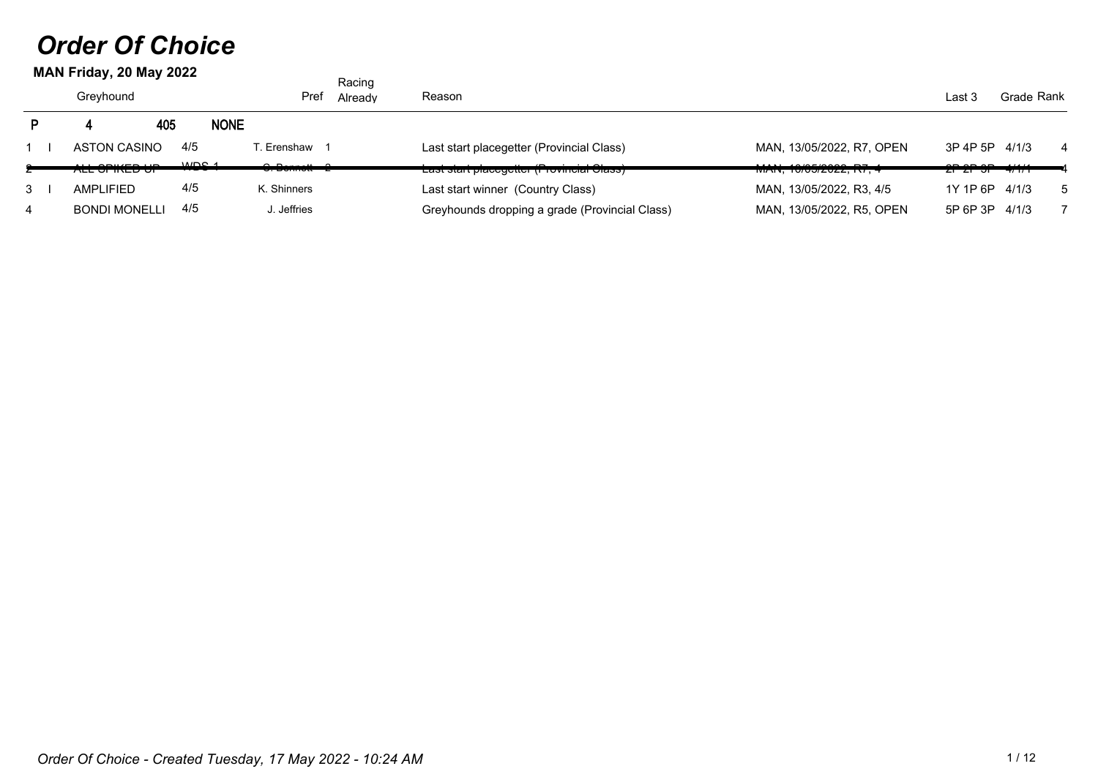## *Order Of Choice*

|    | MAN Friday, 20 May 2022         |                  | Racing                             |                                                                   |                           |                                                  |       |                |
|----|---------------------------------|------------------|------------------------------------|-------------------------------------------------------------------|---------------------------|--------------------------------------------------|-------|----------------|
|    | Greyhound                       |                  | Pref                               | Reason<br>Already                                                 |                           |                                                  |       | Grade Rank     |
| P. | 405                             | <b>NONE</b>      |                                    |                                                                   |                           |                                                  |       |                |
|    | <b>ASTON CASINO</b>             | 4/5              | . Erenshaw                         | Last start placegetter (Provincial Class)                         | MAN, 13/05/2022, R7, OPEN | 3P 4P 5P 4/1/3                                   |       | $\overline{4}$ |
|    | $\cdots$ $\sim$<br>יט שאורוס שא | MDC <sub>4</sub> | $\sim$ $\sim$ $\sim$ $\sim$ $\sim$ | $\sim$ $\sim$<br><u>Laoi olan piaccyclici (i tovinciai Olaoo)</u> | 11111 1010510000 07       | $\overline{\phantom{a}}$<br><del>4 4 9 7 7</del> |       |                |
| 3  | AMPLIFIED                       | 4/5              | K. Shinners                        | Last start winner (Country Class)                                 | MAN, 13/05/2022, R3, 4/5  | 1Y 1P 6P 4/1/3                                   |       | -5             |
| 4  | <b>BONDI MONELLI</b>            | 4/5              | . Jeffries                         | Greyhounds dropping a grade (Provincial Class)                    | MAN, 13/05/2022, R5, OPEN | 5P 6P 3P                                         | 4/1/3 |                |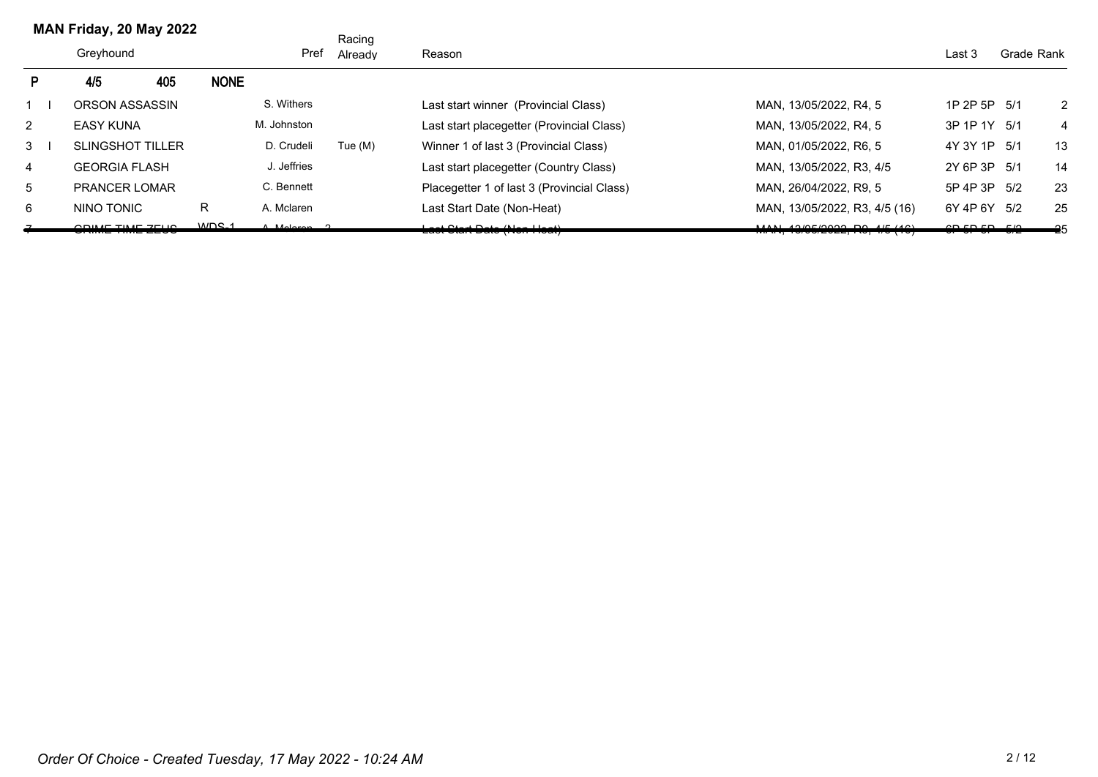|           | MAN Friday, 20 May 2022 |                         |     |             |               | Racing            |                                            |                               |              |            |    |
|-----------|-------------------------|-------------------------|-----|-------------|---------------|-------------------|--------------------------------------------|-------------------------------|--------------|------------|----|
|           | Greyhound               |                         |     |             | Pref          | Reason<br>Already |                                            |                               | Last 3       | Grade Rank |    |
|           |                         | 4/5                     | 405 | <b>NONE</b> |               |                   |                                            |                               |              |            |    |
|           |                         | ORSON ASSASSIN          |     |             | S. Withers    |                   | Last start winner (Provincial Class)       | MAN, 13/05/2022, R4, 5        | 1P 2P 5P 5/1 |            | 2  |
| 2         |                         | <b>EASY KUNA</b>        |     |             | M. Johnston   |                   | Last start placegetter (Provincial Class)  | MAN. 13/05/2022. R4. 5        | 3P 1P 1Y 5/1 |            | 4  |
| $3 \quad$ |                         | <b>SLINGSHOT TILLER</b> |     |             | D. Crudeli    | Tue $(M)$         | Winner 1 of last 3 (Provincial Class)      | MAN, 01/05/2022, R6, 5        | 4Y 3Y 1P 5/1 |            | 13 |
| 4         |                         | <b>GEORGIA FLASH</b>    |     |             | J. Jeffries   |                   | Last start placegetter (Country Class)     | MAN, 13/05/2022, R3, 4/5      | 2Y 6P 3P 5/1 |            | 14 |
| 5         |                         | <b>PRANCER LOMAR</b>    |     |             | C. Bennett    |                   | Placegetter 1 of last 3 (Provincial Class) | MAN. 26/04/2022. R9. 5        | 5P 4P 3P 5/2 |            | 23 |
| 6         |                         | NINO TONIC              |     | R.          | A. Mclaren    |                   | Last Start Date (Non-Heat)                 | MAN, 13/05/2022, R3, 4/5 (16) | 6Y 4P 6Y 5/2 |            | 25 |
|           |                         | COIME TIME ZELIC        |     | $MDS-1$     | $A$ Moloron 2 |                   | ant Ctart Data (Nan Haat)                  | $MAAI$ 12/05/2022 DO ALE (12) | CDEDEDE      |            | ⊸⊼ |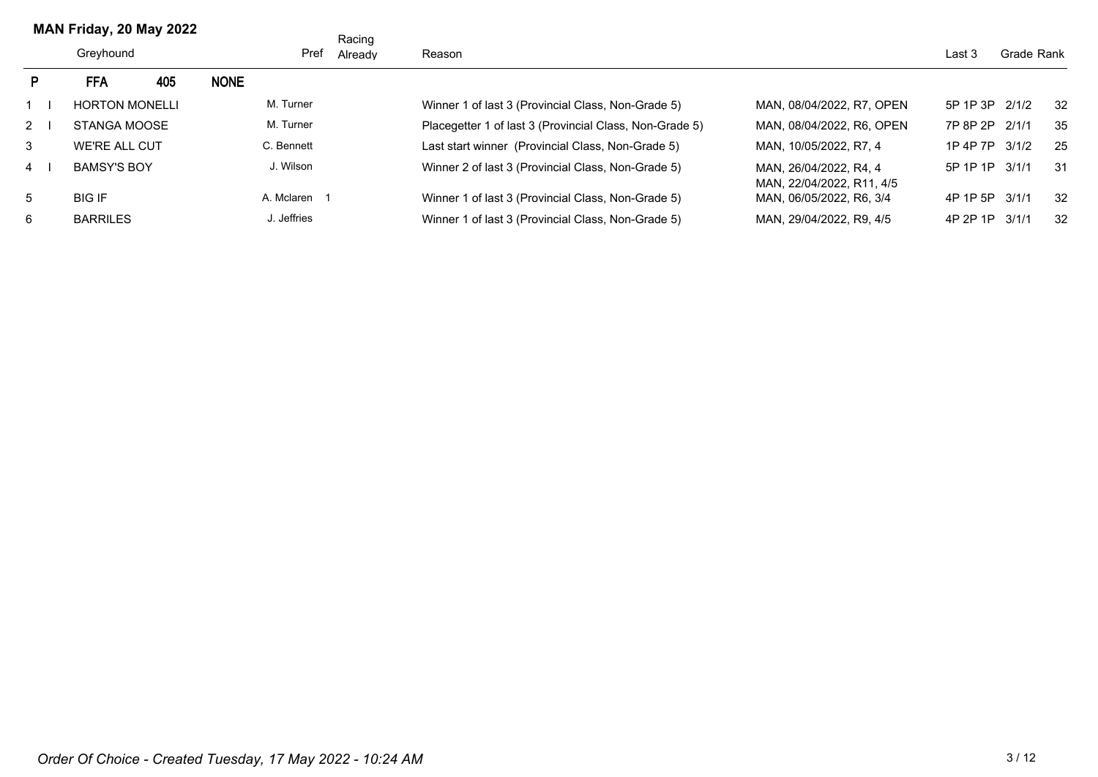|                | MAN Friday, 20 May 2022 |     |             |              | Racing  |                                                         |                                                     |                |            |     |
|----------------|-------------------------|-----|-------------|--------------|---------|---------------------------------------------------------|-----------------------------------------------------|----------------|------------|-----|
|                | Greyhound               |     |             | Pref         | Already | Reason                                                  |                                                     | Last 3         | Grade Rank |     |
| P.             | <b>FFA</b>              | 405 | <b>NONE</b> |              |         |                                                         |                                                     |                |            |     |
|                | <b>HORTON MONELLI</b>   |     |             | M. Turner    |         | Winner 1 of last 3 (Provincial Class, Non-Grade 5)      | MAN. 08/04/2022. R7. OPEN                           | 5P 1P 3P       | 2/1/2      | 32  |
| $2 \quad$      | STANGA MOOSE            |     |             | M. Turner    |         | Placegetter 1 of last 3 (Provincial Class, Non-Grade 5) | MAN. 08/04/2022. R6. OPEN                           | 7P 8P 2P 2/1/1 |            | 35  |
| 3              | WE'RE ALL CUT           |     |             | C. Bennett   |         | Last start winner (Provincial Class, Non-Grade 5)       | MAN. 10/05/2022. R7. 4                              | 1P 4P 7P 3/1/2 |            | -25 |
| $\overline{4}$ | <b>BAMSY'S BOY</b>      |     |             | J. Wilson    |         | Winner 2 of last 3 (Provincial Class, Non-Grade 5)      | MAN. 26/04/2022. R4. 4<br>MAN. 22/04/2022. R11. 4/5 | 5P 1P 1P 3/1/1 |            | 31  |
| 5              | <b>BIG IF</b>           |     |             | A. Mclaren 1 |         | Winner 1 of last 3 (Provincial Class, Non-Grade 5)      | MAN, 06/05/2022, R6, 3/4                            | 4P 1P 5P       | 3/1/1      | 32  |
| 6              | <b>BARRILES</b>         |     |             | J. Jeffries  |         | Winner 1 of last 3 (Provincial Class, Non-Grade 5)      | MAN. 29/04/2022. R9. 4/5                            | 4P 2P 1P       | 3/1/1      | 32  |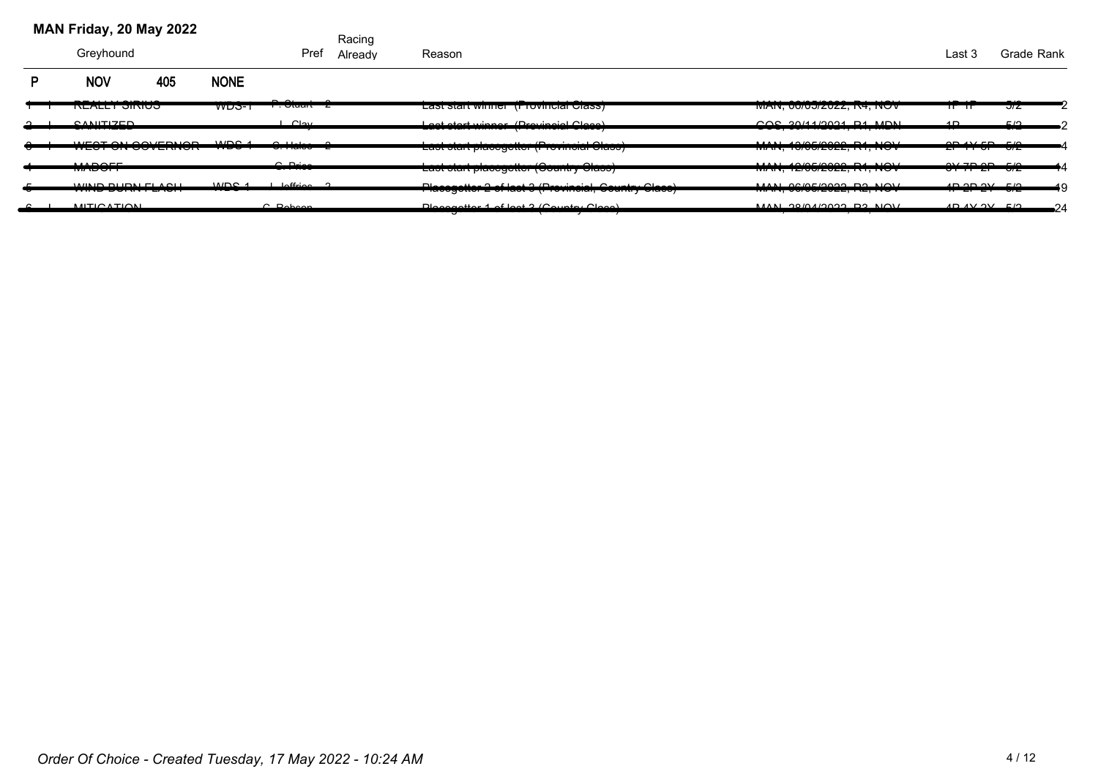| MAN Friday, 20 May 2022        |                                                                                             |                  |                         | Racing  |                                                                                                                                                      |                                                     |                                             |            |
|--------------------------------|---------------------------------------------------------------------------------------------|------------------|-------------------------|---------|------------------------------------------------------------------------------------------------------------------------------------------------------|-----------------------------------------------------|---------------------------------------------|------------|
| Greyhound                      |                                                                                             |                  | Pref                    | Already | Reason                                                                                                                                               |                                                     | Last                                        | Grade Rank |
| <b>NOV</b>                     | 405                                                                                         | <b>NONE</b>      |                         |         |                                                                                                                                                      |                                                     |                                             |            |
| הסוחוט ו שתבות                 |                                                                                             | wus-             | <del>1. oluan -</del> z |         | Lasi sian winn <del>ci (Frovincial Class)</del>                                                                                                      | <b>TVIAIV, UU/UJ/ZUZZ, INT, IVOV</b>                | ┰┲                                          | ച∠         |
| <b>CANITIZED</b>               |                                                                                             |                  | $C_{\text{out}}$        |         | Loot atort winner (Drovinoial Close)                                                                                                                 | $COC$ $20/11/2021$ $D1$ $MDNL$                      | AD                                          | E IO       |
|                                | $\mu$ $\sim$ $\sim$ $\sim$ $\sim$ $\sim$ $\sim$ $\sim$ $\sim$<br><del>iku an da canad</del> | MDC <sub>4</sub> | $\sim$ Helen $\sim$     |         | <u>Last start placegetter (i Tovincial Olass)</u>                                                                                                    | $\frac{1}{1}$<br><del>וו מדור, ו ב∠ט∠ היט מדו</del> | $22.115 - 5.0$<br><del>21 11 10 11 21</del> |            |
| $\mathbf{M}$<br>. <del>.</del> |                                                                                             |                  | $\sim$ Drive            |         | the state of the second team of October 2014 and 1<br>Laot olant placegottor (Ocaminy Oldoo)                                                         | MAU A QQCD                                          | 0.17000E/0                                  |            |
| <b>WIND DUDNEL ACLL</b>        |                                                                                             | MDC <sub>4</sub> | Jeffrice 2              |         | Dloggastter 2 of loot 2 (Drovinsial, Country Close)<br>$\blacksquare$ racegories $\blacksquare$ or need of $\blacksquare$ . Formerly, occurs, one of | MAN ACIAEIDADD DD NAV                               | $\sqrt{2}$ $\sqrt{2}$                       |            |
| <b>MITICATION</b>              |                                                                                             |                  | $C$ Debeen              |         | Dlossestter 1 of lest 2 (Caupta: Class)<br>$\frac{10000}{10000}$                                                                                     | NAN CO CCOCINAIOC MAN<br><del>.</del>               | $AD$ $AV$ $QV$ $E/2$                        | 24ء        |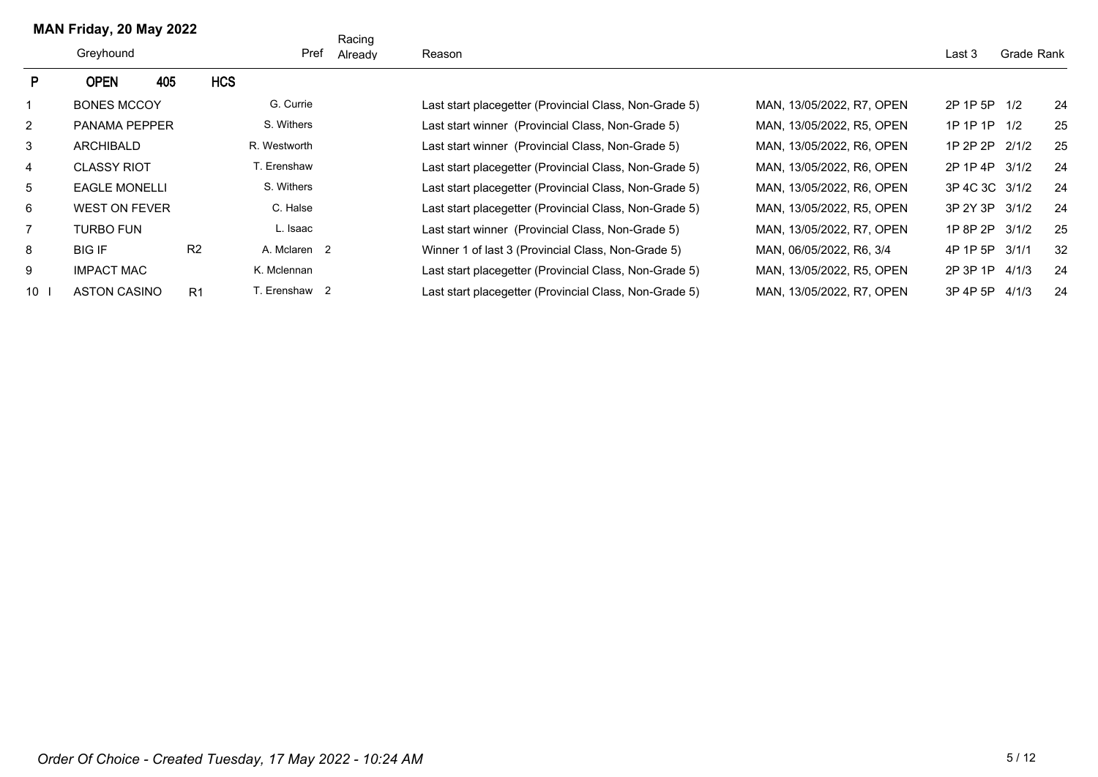|                | MAN Friday, 20 May 2022 |            |               | Racing  |                                                        |                           |                |            |    |
|----------------|-------------------------|------------|---------------|---------|--------------------------------------------------------|---------------------------|----------------|------------|----|
|                | Greyhound               |            | Pref          | Already | Reason                                                 |                           | Last 3         | Grade Rank |    |
| P.             | 405<br><b>OPEN</b>      | <b>HCS</b> |               |         |                                                        |                           |                |            |    |
| 1              | <b>BONES MCCOY</b>      |            | G. Currie     |         | Last start placegetter (Provincial Class, Non-Grade 5) | MAN, 13/05/2022, R7, OPEN | 2P 1P 5P 1/2   |            | 24 |
| $\overline{2}$ | <b>PANAMA PEPPER</b>    |            | S. Withers    |         | Last start winner (Provincial Class, Non-Grade 5)      | MAN, 13/05/2022, R5, OPEN | 1P 1P 1P 1/2   |            | 25 |
| 3              | <b>ARCHIBALD</b>        |            | R. Westworth  |         | Last start winner (Provincial Class, Non-Grade 5)      | MAN, 13/05/2022, R6, OPEN | 1P 2P 2P 2/1/2 |            | 25 |
| 4              | <b>CLASSY RIOT</b>      |            | T. Erenshaw   |         | Last start placegetter (Provincial Class, Non-Grade 5) | MAN, 13/05/2022, R6, OPEN | 2P 1P 4P 3/1/2 |            | 24 |
| 5              | <b>EAGLE MONELLI</b>    |            | S. Withers    |         | Last start placegetter (Provincial Class, Non-Grade 5) | MAN, 13/05/2022, R6, OPEN | 3P 4C 3C 3/1/2 |            | 24 |
| 6              | <b>WEST ON FEVER</b>    |            | C. Halse      |         | Last start placegetter (Provincial Class, Non-Grade 5) | MAN, 13/05/2022, R5, OPEN | 3P 2Y 3P       | 3/1/2      | 24 |
| $\overline{7}$ | <b>TURBO FUN</b>        |            | L. Isaac      |         | Last start winner (Provincial Class, Non-Grade 5)      | MAN, 13/05/2022, R7, OPEN | 1P 8P 2P 3/1/2 |            | 25 |
| 8              | <b>BIG IF</b>           | R2         | A. Mclaren 2  |         | Winner 1 of last 3 (Provincial Class, Non-Grade 5)     | MAN, 06/05/2022, R6, 3/4  | 4P 1P 5P       | 3/1/1      | 32 |
| 9              | <b>IMPACT MAC</b>       |            | K. Mclennan   |         | Last start placegetter (Provincial Class, Non-Grade 5) | MAN, 13/05/2022, R5, OPEN | 2P 3P 1P       | 4/1/3      | 24 |
| $10$           | <b>ASTON CASINO</b>     | R1         | T. Erenshaw 2 |         | Last start placegetter (Provincial Class, Non-Grade 5) | MAN, 13/05/2022, R7, OPEN | 3P 4P 5P       | 4/1/3      | 24 |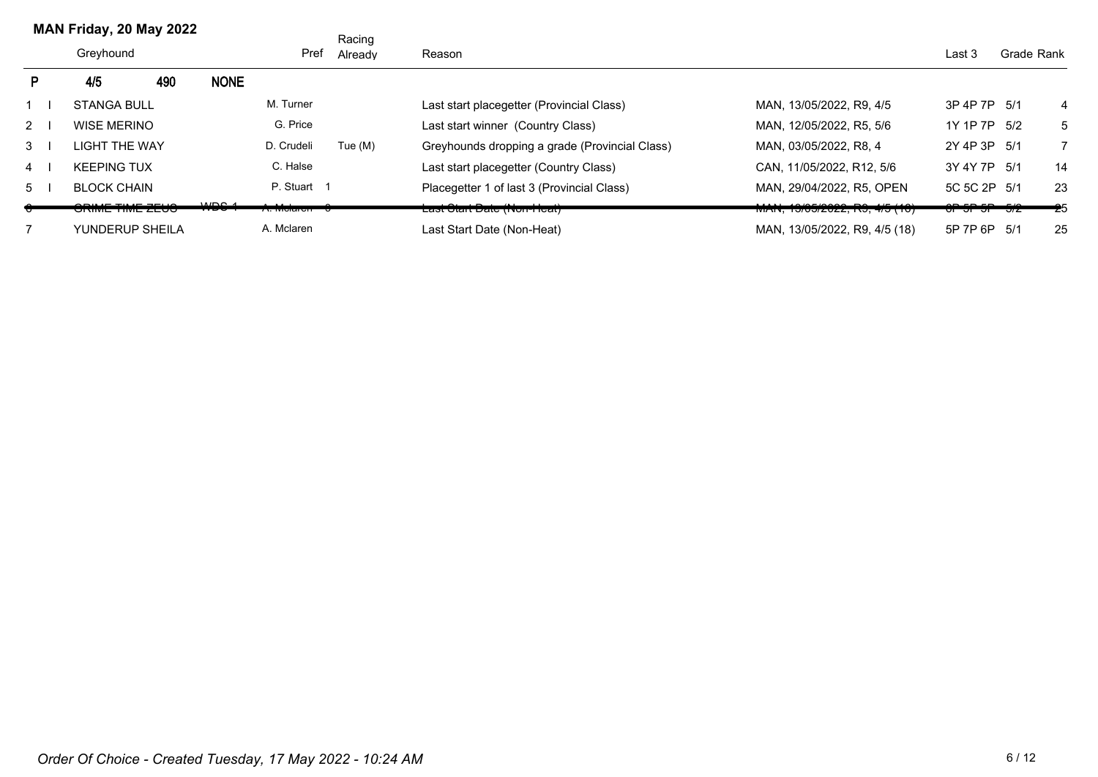|          |           | MAN Friday, 20 May 2022 |     |             |              |                   |                                                |                                    |                        |            |                |
|----------|-----------|-------------------------|-----|-------------|--------------|-------------------|------------------------------------------------|------------------------------------|------------------------|------------|----------------|
|          | Greyhound |                         |     |             | Pref         | Racing<br>Already | Reason                                         |                                    |                        | Grade Rank |                |
| P.       |           | 4/5                     | 490 | <b>NONE</b> |              |                   |                                                |                                    |                        |            |                |
|          |           | <b>STANGA BULL</b>      |     |             | M. Turner    |                   | Last start placegetter (Provincial Class)      | MAN, 13/05/2022, R9, 4/5           | 3P 4P 7P 5/1           |            | 4              |
| $2 \mid$ |           | <b>WISE MERINO</b>      |     |             | G. Price     |                   | Last start winner (Country Class)              | MAN, 12/05/2022, R5, 5/6           | 1Y 1P 7P 5/2           |            | 5              |
| $3 \mid$ |           | LIGHT THE WAY           |     |             | D. Crudeli   | Tue $(M)$         | Greyhounds dropping a grade (Provincial Class) | MAN. 03/05/2022. R8. 4             | 2Y 4P 3P 5/1           |            | $\overline{7}$ |
| $4 \mid$ |           | <b>KEEPING TUX</b>      |     |             | C. Halse     |                   | Last start placegetter (Country Class)         | CAN, 11/05/2022, R12, 5/6          | 3Y 4Y 7P 5/1           |            | 14             |
| $5 -$    |           | <b>BLOCK CHAIN</b>      |     |             | P. Stuart 1  |                   | Placegetter 1 of last 3 (Provincial Class)     | MAN. 29/04/2022. R5. OPEN          | 5C 5C 2P 5/1           |            | 23             |
| ᠊ᠣ       |           | ONIME TIME ZEUC         |     | 11/22       | n. molaron - |                   | <u> Last Olant Dalt (Nun-Mital)</u>            | <u>וטורוזיה באטאיסטיה, וורוווו</u> | <del>, טוט וט וט</del> |            | ాబ             |
|          |           | YUNDERUP SHEILA         |     |             | A. Mclaren   |                   | Last Start Date (Non-Heat)                     | MAN, 13/05/2022, R9, 4/5 (18)      | 5P 7P 6P 5/1           |            | 25             |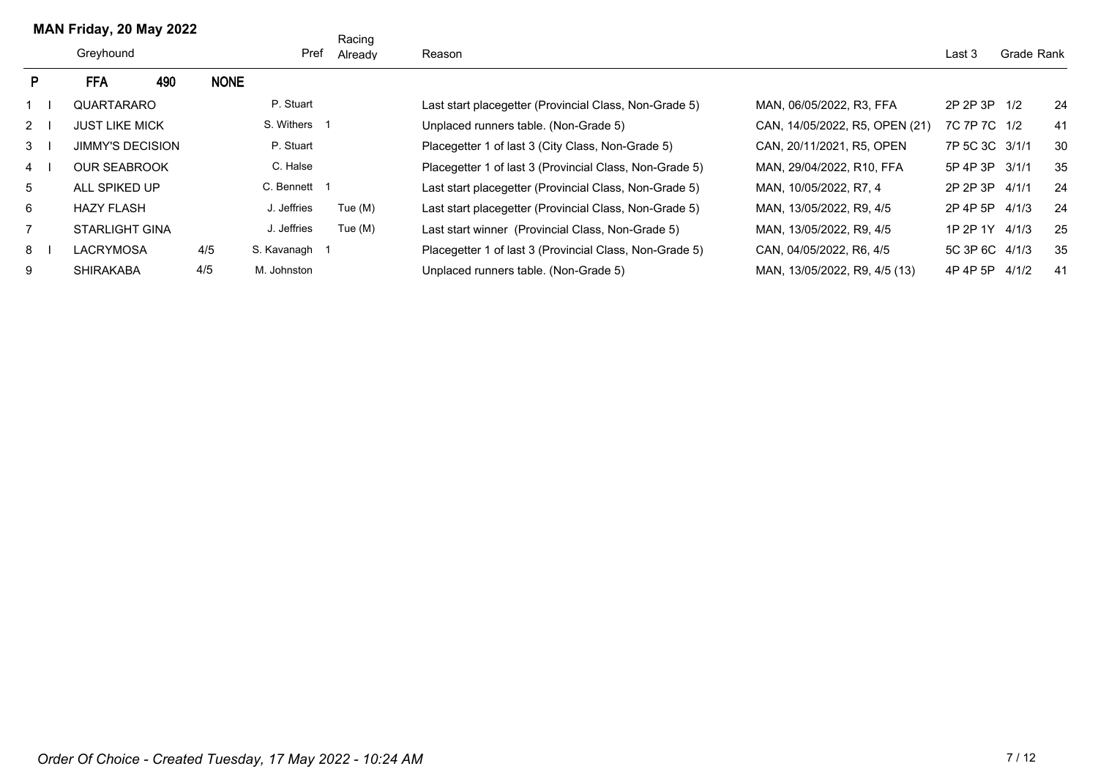## **MAN Friday, 20 May 2022**

|             | Greyhound             |                         |             | Racing<br>Pref<br>Already |           | Reason                                                  |                                |                | Grade Rank |     |
|-------------|-----------------------|-------------------------|-------------|---------------------------|-----------|---------------------------------------------------------|--------------------------------|----------------|------------|-----|
| P.          | <b>FFA</b>            | 490                     | <b>NONE</b> |                           |           |                                                         |                                |                |            |     |
| $1 \quad$   | <b>QUARTARARO</b>     |                         |             | P. Stuart                 |           | Last start placegetter (Provincial Class, Non-Grade 5)  | MAN, 06/05/2022, R3, FFA       | 2P 2P 3P 1/2   |            | 24  |
| $2 \mid$    | <b>JUST LIKE MICK</b> |                         |             | S. Withers 1              |           | Unplaced runners table. (Non-Grade 5)                   | CAN, 14/05/2022, R5, OPEN (21) | 7C 7P 7C 1/2   |            | 41  |
| $3^{\circ}$ |                       | <b>JIMMY'S DECISION</b> |             | P. Stuart                 |           | Placegetter 1 of last 3 (City Class, Non-Grade 5)       | CAN. 20/11/2021. R5. OPEN      | 7P 5C 3C 3/1/1 |            | 30  |
| $4 \quad$   | <b>OUR SEABROOK</b>   |                         |             | C. Halse                  |           | Placegetter 1 of last 3 (Provincial Class, Non-Grade 5) | MAN. 29/04/2022. R10. FFA      | 5P 4P 3P       | 3/1/1      | 35  |
| 5           | ALL SPIKED UP         |                         |             | C. Bennett 1              |           | Last start placegetter (Provincial Class, Non-Grade 5)  | MAN. 10/05/2022. R7. 4         | 2P 2P 3P       | 4/1/1      | 24  |
| 6           | <b>HAZY FLASH</b>     |                         |             | J. Jeffries               | Tue (M)   | Last start placegetter (Provincial Class, Non-Grade 5)  | MAN, 13/05/2022, R9, 4/5       | 2P 4P 5P       | 4/1/3      | 24  |
|             | <b>STARLIGHT GINA</b> |                         |             | J. Jeffries               | Tue $(M)$ | Last start winner (Provincial Class, Non-Grade 5)       | MAN, 13/05/2022, R9, 4/5       | 1P 2P 1Y 4/1/3 |            | 25  |
| 8           | <b>LACRYMOSA</b>      |                         | 4/5         | S. Kavanagh 1             |           | Placegetter 1 of last 3 (Provincial Class, Non-Grade 5) | CAN, 04/05/2022, R6, 4/5       | 5C 3P 6C 4/1/3 |            | 35  |
| 9           | <b>SHIRAKABA</b>      |                         | 4/5         | M. Johnston               |           | Unplaced runners table. (Non-Grade 5)                   | MAN, 13/05/2022, R9, 4/5 (13)  | 4P 4P 5P       | 4/1/2      | -41 |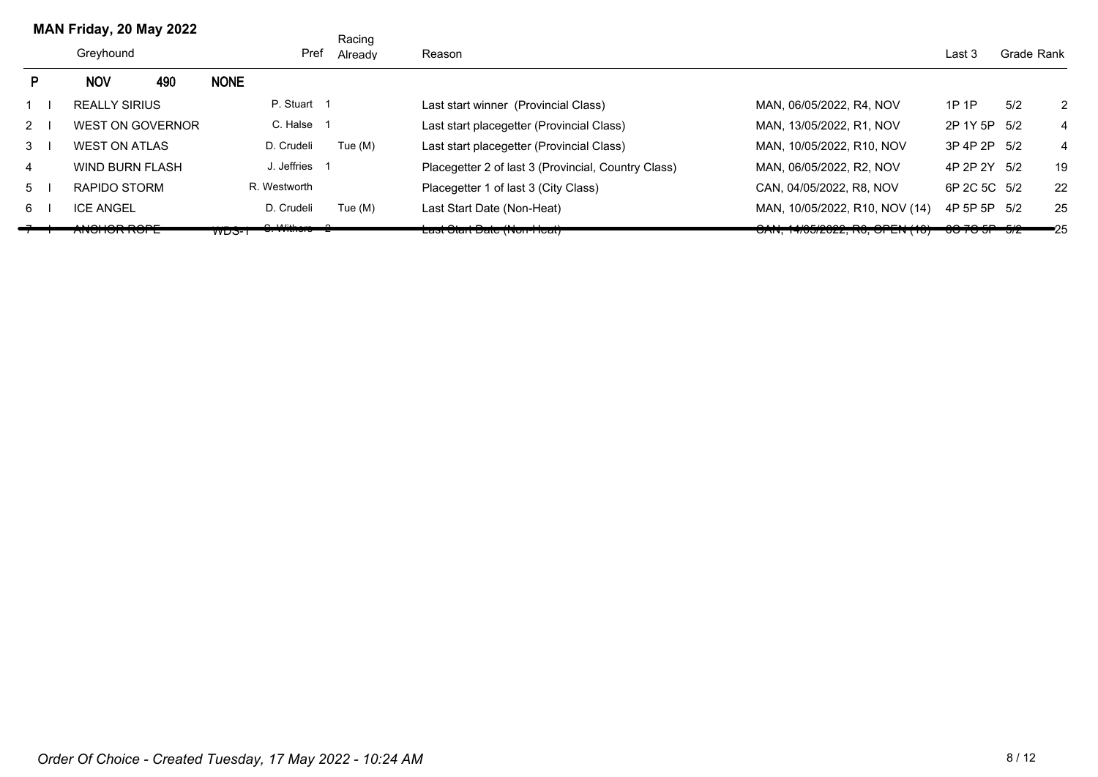|             | MAN Friday, 20 May 2022 |     |                 |               | Racing  |                                                     |                                                |                     |            |
|-------------|-------------------------|-----|-----------------|---------------|---------|-----------------------------------------------------|------------------------------------------------|---------------------|------------|
|             | Greyhound               |     |                 | Pref          | Already | Reason                                              |                                                | Last 3              | Grade Rank |
| P           | <b>NOV</b>              | 490 | <b>NONE</b>     |               |         |                                                     |                                                |                     |            |
|             | <b>REALLY SIRIUS</b>    |     |                 | P. Stuart 1   |         | Last start winner (Provincial Class)                | MAN. 06/05/2022. R4. NOV                       | $1P$ $1P$           | 5/2<br>2   |
| $2^{\circ}$ | <b>WEST ON GOVERNOR</b> |     |                 | C. Halse 1    |         | Last start placegetter (Provincial Class)           | MAN, 13/05/2022, R1, NOV                       | 2P 1Y 5P 5/2        | 4          |
| 3           | <b>WEST ON ATLAS</b>    |     |                 | D. Crudeli    | Tue (M) | Last start placegetter (Provincial Class)           | MAN, 10/05/2022, R10, NOV                      | 3P 4P 2P 5/2        | 4          |
| 4           | <b>WIND BURN FLASH</b>  |     |                 | J. Jeffries 1 |         | Placegetter 2 of last 3 (Provincial, Country Class) | MAN. 06/05/2022. R2. NOV                       | 4P 2P 2Y 5/2        | 19         |
| 5           | RAPIDO STORM            |     |                 | R. Westworth  |         | Placegetter 1 of last 3 (City Class)                | CAN, 04/05/2022, R8, NOV                       | 6P 2C 5C 5/2        | 22         |
| 6           | <b>ICE ANGEL</b>        |     |                 | D. Crudeli    | Tue (M) | Last Start Date (Non-Heat)                          | MAN, 10/05/2022, R10, NOV (14)                 | 4P 5P 5P 5/2        | 25         |
|             |                         |     | <del>wdo-</del> | 0.111         |         | Lasi Olan Dalo (Non-Noal)                           | <del>0/111, 17/00/2022, 110, 01 LITT, 10</del> | <del>oo ro or</del> | ■25        |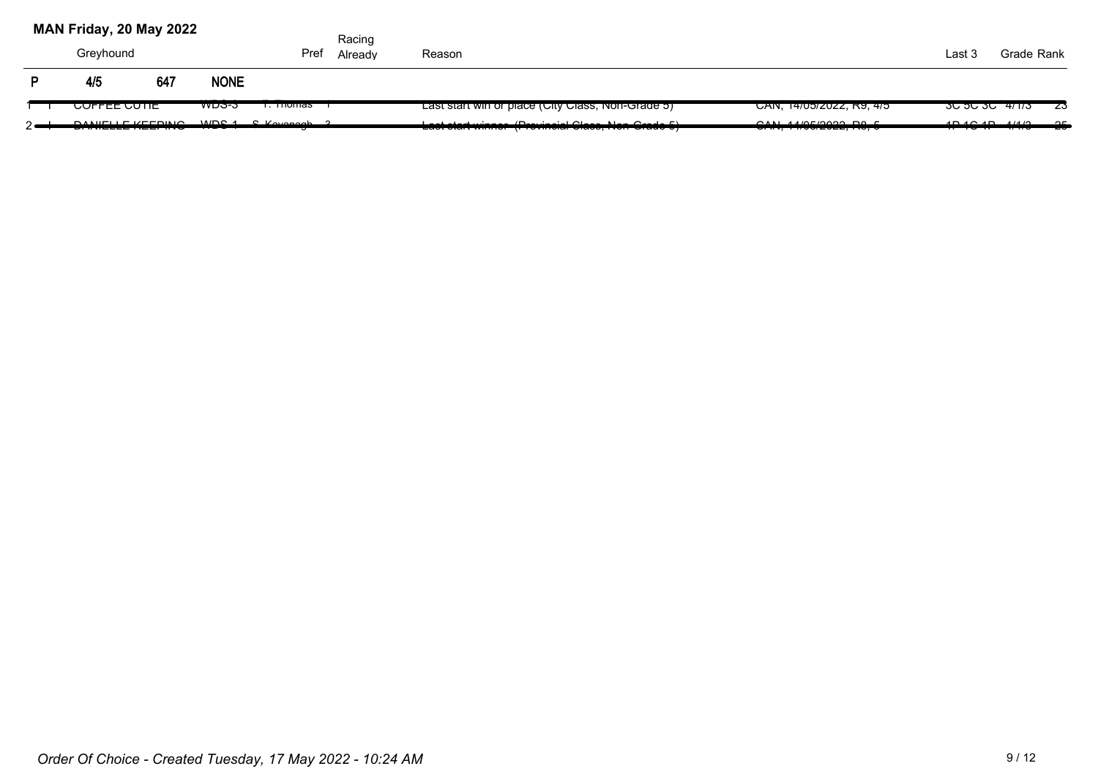|            | MAN Friday, 20 May 2022 |     |             |                                   | Racing  |                                                                                                                                                                                                                                                                                          |                                                        |                                |            |                          |
|------------|-------------------------|-----|-------------|-----------------------------------|---------|------------------------------------------------------------------------------------------------------------------------------------------------------------------------------------------------------------------------------------------------------------------------------------------|--------------------------------------------------------|--------------------------------|------------|--------------------------|
|            | Pref<br>Greyhound       |     |             |                                   | Already | Reason                                                                                                                                                                                                                                                                                   |                                                        | Last 3                         | Grade Rank |                          |
| Þ          | 4/5                     | 647 | <b>NONE</b> |                                   |         |                                                                                                                                                                                                                                                                                          |                                                        |                                |            |                          |
|            | <del>COFFEE COTIE</del> |     | wos-s       | <del>T. Thomas -</del>            |         | Last start win or place (City Class, Non-Grade 5)                                                                                                                                                                                                                                        | <u> CAN, 14/05/2022, R9, 4/5</u>                       | 3 <del>0 30 30 4/1/3</del>     |            | -23                      |
| $\sim$ $-$ |                         |     |             | DANIFLE KEEDING MDC4 C Kayanaah 2 |         | $A$ and $A$ is denoted the proposed $A$ and $A$ and $B$ and $B$ and $B$ and $B$ and $B$ and $B$ and $B$ and $B$ and $B$ and $B$ and $B$ and $B$ and $B$ and $B$ and $B$ and $B$ and $B$ and $B$ and $B$ and $B$ and $B$ and<br><u> 1991 olan million (morillolar olace, non-craac e </u> | <del>, , , , , , , , , , , , , , , ,</del> , , , , , , | AD 40 4D 41412<br><del>.</del> |            | $\overline{\phantom{a}}$ |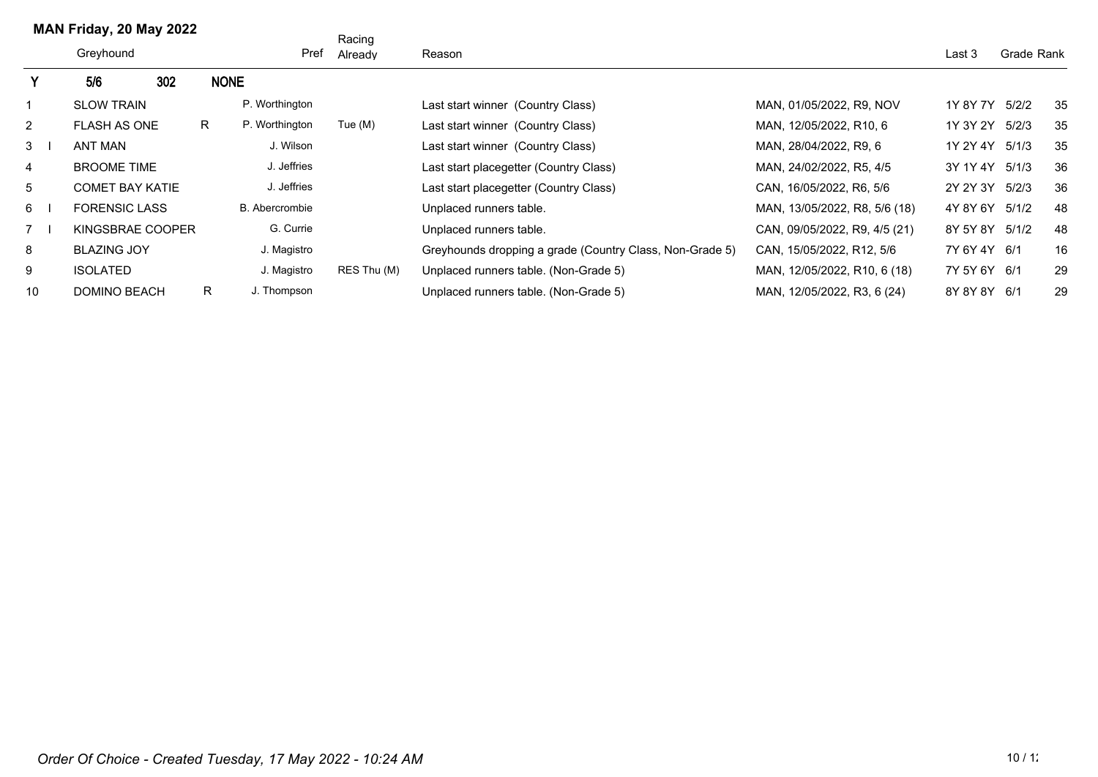|                | MAN Friday, 20 May 2022 |                  |    |                | Racing      |                                                          |                               |                |            |    |
|----------------|-------------------------|------------------|----|----------------|-------------|----------------------------------------------------------|-------------------------------|----------------|------------|----|
|                | Greyhound               |                  |    | Pref           | Already     | Reason                                                   |                               | Last 3         | Grade Rank |    |
|                | 5/6                     | 302              |    | <b>NONE</b>    |             |                                                          |                               |                |            |    |
|                | <b>SLOW TRAIN</b>       |                  |    | P. Worthington |             | Last start winner (Country Class)                        | MAN, 01/05/2022, R9, NOV      | 1Y 8Y 7Y       | 5/2/2      | 35 |
| $\overline{2}$ | <b>FLASH AS ONE</b>     |                  | R  | P. Worthington | Tue $(M)$   | Last start winner (Country Class)                        | MAN, 12/05/2022, R10, 6       | 1Y 3Y 2Y       | 5/2/3      | 35 |
| 3              | ANT MAN                 |                  |    | J. Wilson      |             | Last start winner (Country Class)                        | MAN, 28/04/2022, R9, 6        | 1Y 2Y 4Y 5/1/3 |            | 35 |
| 4              | <b>BROOME TIME</b>      |                  |    | J. Jeffries    |             | Last start placegetter (Country Class)                   | MAN, 24/02/2022, R5, 4/5      | 3Y 1Y 4Y 5/1/3 |            | 36 |
| 5              | <b>COMET BAY KATIE</b>  |                  |    | J. Jeffries    |             | Last start placegetter (Country Class)                   | CAN, 16/05/2022, R6, 5/6      | 2Y 2Y 3Y 5/2/3 |            | 36 |
| 6              | <b>FORENSIC LASS</b>    |                  |    | B. Abercrombie |             | Unplaced runners table.                                  | MAN, 13/05/2022, R8, 5/6 (18) | 4Y 8Y 6Y       | 5/1/2      | 48 |
| $7^{\circ}$    |                         | KINGSBRAE COOPER |    | G. Currie      |             | Unplaced runners table.                                  | CAN, 09/05/2022, R9, 4/5 (21) | 8Y 5Y 8Y 5/1/2 |            | 48 |
| 8              | <b>BLAZING JOY</b>      |                  |    | J. Magistro    |             | Greyhounds dropping a grade (Country Class, Non-Grade 5) | CAN, 15/05/2022, R12, 5/6     | 7Y 6Y 4Y 6/1   |            | 16 |
| 9              | <b>ISOLATED</b>         |                  |    | J. Magistro    | RES Thu (M) | Unplaced runners table. (Non-Grade 5)                    | MAN, 12/05/2022, R10, 6 (18)  | 7Y 5Y 6Y 6/1   |            | 29 |
| 10             | <b>DOMINO BEACH</b>     |                  | R. | J. Thompson    |             | Unplaced runners table. (Non-Grade 5)                    | MAN, 12/05/2022, R3, 6 (24)   | 8Y 8Y 8Y 6/1   |            | 29 |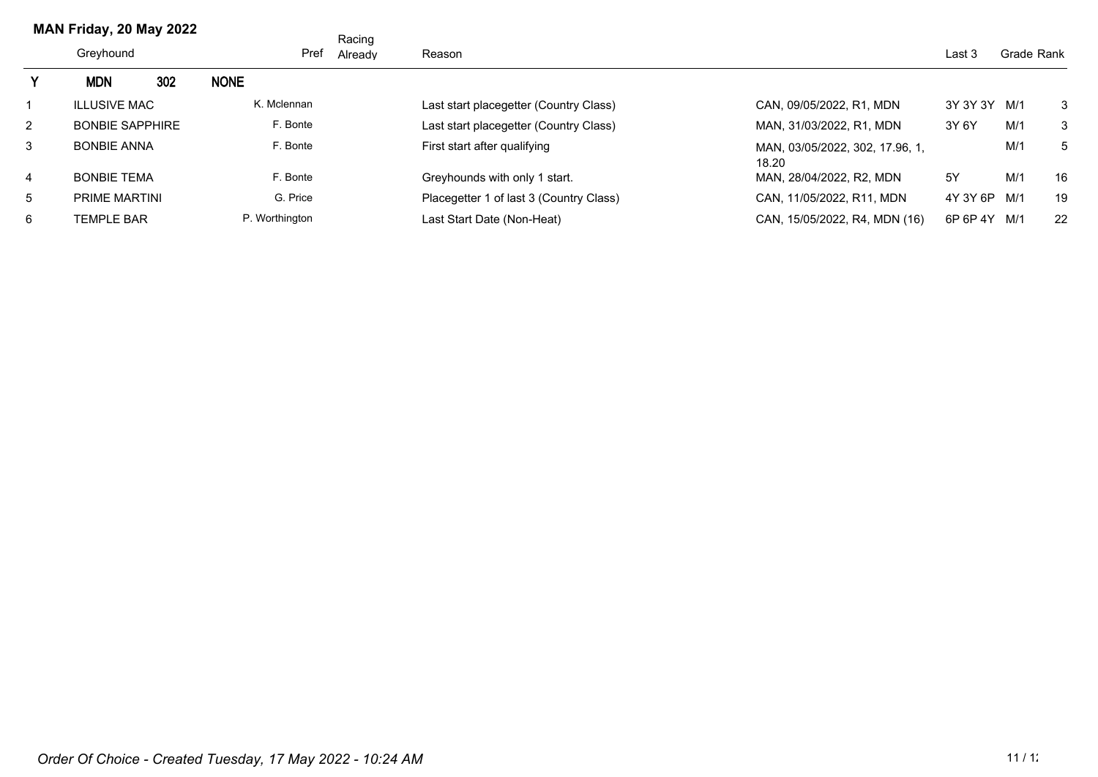## **MAN Friday, 20 May 2022**

|                | Greyhound              | - - | Pref           | Racing<br>Already | Reason                                  |                                          | Last 3       | Grade Rank |    |
|----------------|------------------------|-----|----------------|-------------------|-----------------------------------------|------------------------------------------|--------------|------------|----|
|                | <b>MDN</b>             | 302 | <b>NONE</b>    |                   |                                         |                                          |              |            |    |
|                | <b>ILLUSIVE MAC</b>    |     | K. Mclennan    |                   | Last start placegetter (Country Class)  | CAN, 09/05/2022, R1, MDN                 | 3Y 3Y 3Y M/1 |            | 3  |
| $\mathbf{2}$   | <b>BONBIE SAPPHIRE</b> |     | F. Bonte       |                   | Last start placegetter (Country Class)  | MAN, 31/03/2022, R1, MDN                 | 3Y 6Y        | M/1        | 3  |
| 3              | <b>BONBIE ANNA</b>     |     | F. Bonte       |                   | First start after qualifying            | MAN, 03/05/2022, 302, 17.96, 1,<br>18.20 |              | M/1        | 5  |
| $\overline{4}$ | <b>BONBIE TEMA</b>     |     | F. Bonte       |                   | Greyhounds with only 1 start.           | MAN, 28/04/2022, R2, MDN                 | 5Y           | M/1        | 16 |
| 5              | <b>PRIME MARTINI</b>   |     | G. Price       |                   | Placegetter 1 of last 3 (Country Class) | CAN, 11/05/2022, R11, MDN                | 4Y 3Y 6P M/1 |            | 19 |
| 6              | <b>TEMPLE BAR</b>      |     | P. Worthington |                   | Last Start Date (Non-Heat)              | CAN, 15/05/2022, R4, MDN (16)            | 6P 6P 4Y M/1 |            | 22 |